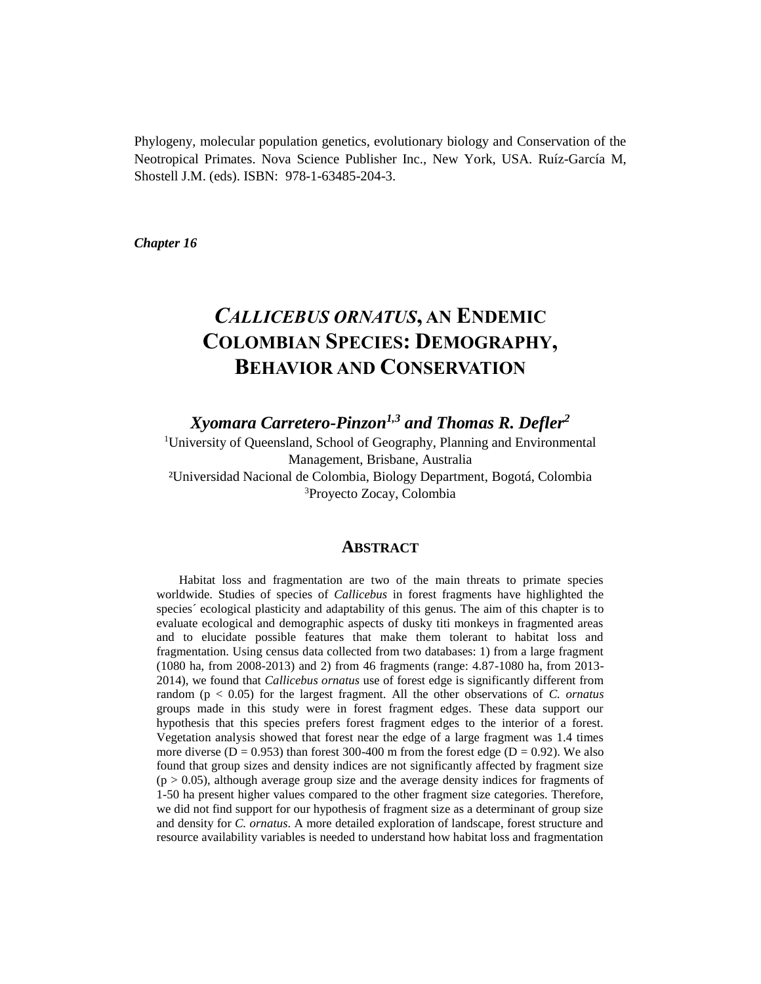Phylogeny, molecular population genetics, evolutionary biology and Conservation of the Neotropical Primates. Nova Science Publisher Inc., New York, USA. Ruíz-García M, Shostell J.M. (eds). ISBN: 978-1-63485-204-3.

*Chapter 16*

# *CALLICEBUS ORNATUS***, AN ENDEMIC COLOMBIAN SPECIES: DEMOGRAPHY, BEHAVIOR AND CONSERVATION**

*Xyomara Carretero-Pinzon1,3 and Thomas R. Defler<sup>2</sup>*

<sup>1</sup>University of Queensland, School of Geography, Planning and Environmental Management, Brisbane, Australia ²Universidad Nacional de Colombia, Biology Department, Bogotá, Colombia <sup>3</sup>Proyecto Zocay, Colombia

## **ABSTRACT**

Habitat loss and fragmentation are two of the main threats to primate species worldwide. Studies of species of *Callicebus* in forest fragments have highlighted the species' ecological plasticity and adaptability of this genus. The aim of this chapter is to evaluate ecological and demographic aspects of dusky titi monkeys in fragmented areas and to elucidate possible features that make them tolerant to habitat loss and fragmentation. Using census data collected from two databases: 1) from a large fragment (1080 ha, from 2008-2013) and 2) from 46 fragments (range: 4.87-1080 ha, from 2013- 2014), we found that *Callicebus ornatus* use of forest edge is significantly different from random (p < 0.05) for the largest fragment. All the other observations of *C. ornatus* groups made in this study were in forest fragment edges. These data support our hypothesis that this species prefers forest fragment edges to the interior of a forest. Vegetation analysis showed that forest near the edge of a large fragment was 1.4 times more diverse ( $D = 0.953$ ) than forest 300-400 m from the forest edge ( $D = 0.92$ ). We also found that group sizes and density indices are not significantly affected by fragment size  $(p > 0.05)$ , although average group size and the average density indices for fragments of 1-50 ha present higher values compared to the other fragment size categories. Therefore, we did not find support for our hypothesis of fragment size as a determinant of group size and density for *C. ornatus*. A more detailed exploration of landscape, forest structure and resource availability variables is needed to understand how habitat loss and fragmentation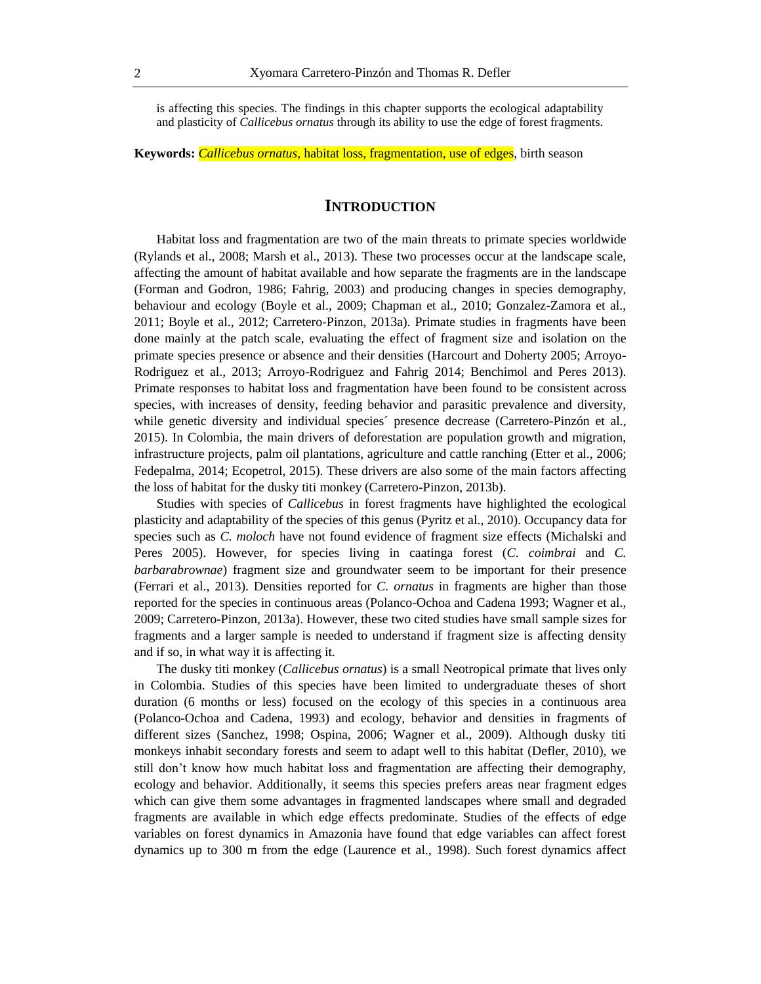is affecting this species. The findings in this chapter supports the ecological adaptability and plasticity of *Callicebus ornatus* through its ability to use the edge of forest fragments.

**Keywords:** *Callicebus ornatus*, habitat loss, fragmentation, use of edges, birth season

# **INTRODUCTION**

Habitat loss and fragmentation are two of the main threats to primate species worldwide (Rylands et al., 2008; Marsh et al., 2013). These two processes occur at the landscape scale, affecting the amount of habitat available and how separate the fragments are in the landscape (Forman and Godron, 1986; Fahrig, 2003) and producing changes in species demography, behaviour and ecology (Boyle et al., 2009; Chapman et al., 2010; Gonzalez-Zamora et al., 2011; Boyle et al., 2012; Carretero-Pinzon, 2013a). Primate studies in fragments have been done mainly at the patch scale, evaluating the effect of fragment size and isolation on the primate species presence or absence and their densities (Harcourt and Doherty 2005; Arroyo-Rodriguez et al., 2013; Arroyo-Rodriguez and Fahrig 2014; Benchimol and Peres 2013). Primate responses to habitat loss and fragmentation have been found to be consistent across species, with increases of density, feeding behavior and parasitic prevalence and diversity, while genetic diversity and individual species´ presence decrease (Carretero-Pinzón et al., 2015). In Colombia, the main drivers of deforestation are population growth and migration, infrastructure projects, palm oil plantations, agriculture and cattle ranching (Etter et al., 2006; Fedepalma, 2014; Ecopetrol, 2015). These drivers are also some of the main factors affecting the loss of habitat for the dusky titi monkey (Carretero-Pinzon, 2013b).

Studies with species of *Callicebus* in forest fragments have highlighted the ecological plasticity and adaptability of the species of this genus (Pyritz et al., 2010). Occupancy data for species such as *C. moloch* have not found evidence of fragment size effects (Michalski and Peres 2005). However, for species living in caatinga forest (*C. coimbrai* and *C. barbarabrownae*) fragment size and groundwater seem to be important for their presence (Ferrari et al., 2013). Densities reported for *C. ornatus* in fragments are higher than those reported for the species in continuous areas (Polanco-Ochoa and Cadena 1993; Wagner et al., 2009; Carretero-Pinzon, 2013a). However, these two cited studies have small sample sizes for fragments and a larger sample is needed to understand if fragment size is affecting density and if so, in what way it is affecting it.

The dusky titi monkey (*Callicebus ornatus*) is a small Neotropical primate that lives only in Colombia. Studies of this species have been limited to undergraduate theses of short duration (6 months or less) focused on the ecology of this species in a continuous area (Polanco-Ochoa and Cadena, 1993) and ecology, behavior and densities in fragments of different sizes (Sanchez, 1998; Ospina, 2006; Wagner et al., 2009). Although dusky titi monkeys inhabit secondary forests and seem to adapt well to this habitat (Defler, 2010), we still don't know how much habitat loss and fragmentation are affecting their demography, ecology and behavior. Additionally, it seems this species prefers areas near fragment edges which can give them some advantages in fragmented landscapes where small and degraded fragments are available in which edge effects predominate. Studies of the effects of edge variables on forest dynamics in Amazonia have found that edge variables can affect forest dynamics up to 300 m from the edge (Laurence et al., 1998). Such forest dynamics affect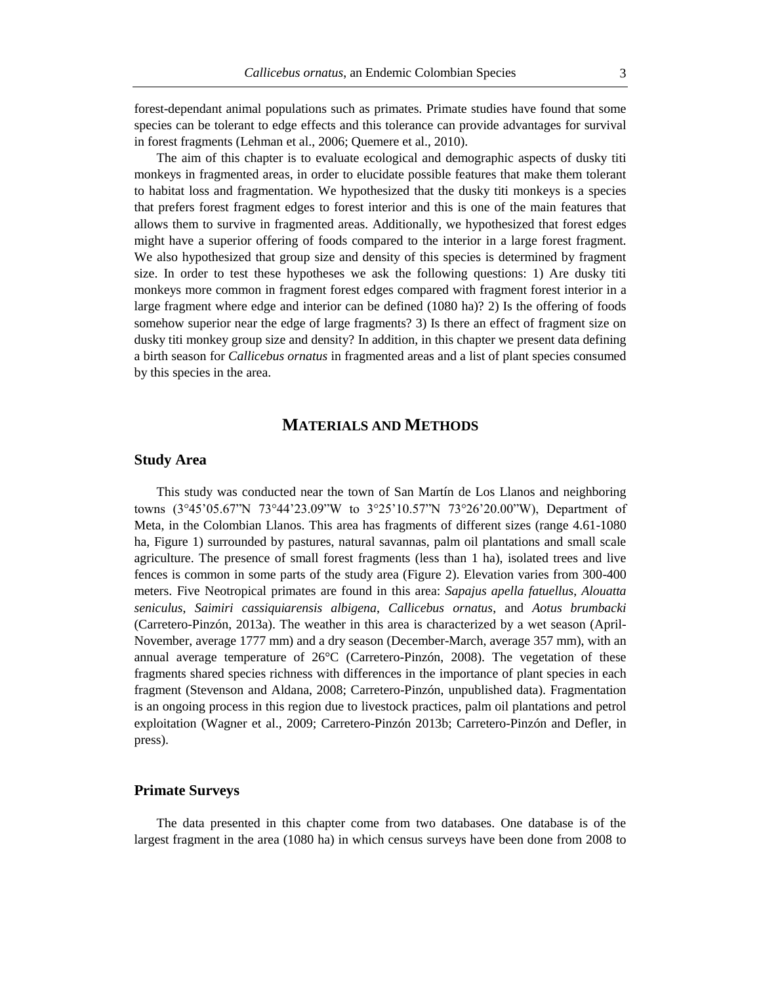forest-dependant animal populations such as primates. Primate studies have found that some species can be tolerant to edge effects and this tolerance can provide advantages for survival in forest fragments (Lehman et al., 2006; Quemere et al., 2010).

The aim of this chapter is to evaluate ecological and demographic aspects of dusky titi monkeys in fragmented areas, in order to elucidate possible features that make them tolerant to habitat loss and fragmentation. We hypothesized that the dusky titi monkeys is a species that prefers forest fragment edges to forest interior and this is one of the main features that allows them to survive in fragmented areas. Additionally, we hypothesized that forest edges might have a superior offering of foods compared to the interior in a large forest fragment. We also hypothesized that group size and density of this species is determined by fragment size. In order to test these hypotheses we ask the following questions: 1) Are dusky titi monkeys more common in fragment forest edges compared with fragment forest interior in a large fragment where edge and interior can be defined (1080 ha)? 2) Is the offering of foods somehow superior near the edge of large fragments? 3) Is there an effect of fragment size on dusky titi monkey group size and density? In addition, in this chapter we present data defining a birth season for *Callicebus ornatus* in fragmented areas and a list of plant species consumed by this species in the area.

# **MATERIALS AND METHODS**

# **Study Area**

This study was conducted near the town of San Martín de Los Llanos and neighboring towns (3°45'05.67"N 73°44'23.09"W to 3°25'10.57"N 73°26'20.00"W), Department of Meta, in the Colombian Llanos. This area has fragments of different sizes (range 4.61-1080 ha, Figure 1) surrounded by pastures, natural savannas, palm oil plantations and small scale agriculture. The presence of small forest fragments (less than 1 ha), isolated trees and live fences is common in some parts of the study area (Figure 2). Elevation varies from 300-400 meters. Five Neotropical primates are found in this area: *Sapajus apella fatuellus*, *Alouatta seniculus*, *Saimiri cassiquiarensis albigena*, *Callicebus ornatus*, and *Aotus brumbacki* (Carretero-Pinzón, 2013a). The weather in this area is characterized by a wet season (April-November, average 1777 mm) and a dry season (December-March, average 357 mm), with an annual average temperature of 26°C (Carretero-Pinzón, 2008). The vegetation of these fragments shared species richness with differences in the importance of plant species in each fragment (Stevenson and Aldana, 2008; Carretero-Pinzón, unpublished data). Fragmentation is an ongoing process in this region due to livestock practices, palm oil plantations and petrol exploitation (Wagner et al., 2009; Carretero-Pinzón 2013b; Carretero-Pinzón and Defler, in press).

#### **Primate Surveys**

The data presented in this chapter come from two databases. One database is of the largest fragment in the area (1080 ha) in which census surveys have been done from 2008 to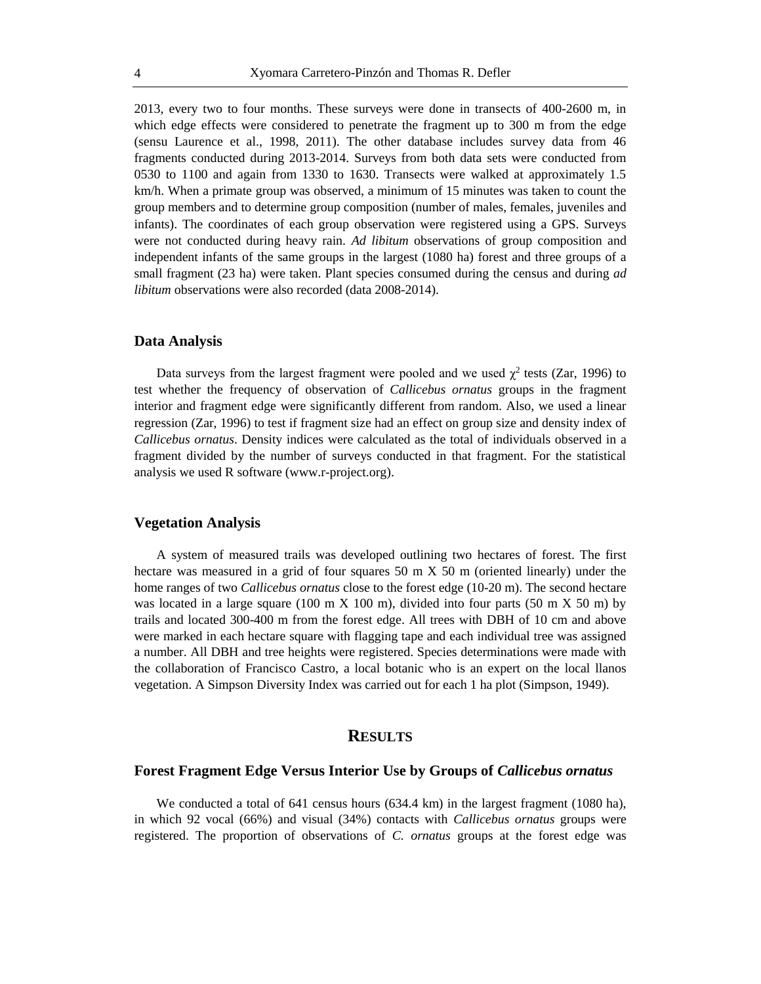2013, every two to four months. These surveys were done in transects of 400-2600 m, in which edge effects were considered to penetrate the fragment up to 300 m from the edge (sensu Laurence et al., 1998, 2011). The other database includes survey data from 46 fragments conducted during 2013-2014. Surveys from both data sets were conducted from 0530 to 1100 and again from 1330 to 1630. Transects were walked at approximately 1.5 km/h. When a primate group was observed, a minimum of 15 minutes was taken to count the group members and to determine group composition (number of males, females, juveniles and infants). The coordinates of each group observation were registered using a GPS. Surveys were not conducted during heavy rain. *Ad libitum* observations of group composition and independent infants of the same groups in the largest (1080 ha) forest and three groups of a small fragment (23 ha) were taken. Plant species consumed during the census and during *ad libitum* observations were also recorded (data 2008-2014).

#### **Data Analysis**

Data surveys from the largest fragment were pooled and we used  $\chi^2$  tests (Zar, 1996) to test whether the frequency of observation of *Callicebus ornatus* groups in the fragment interior and fragment edge were significantly different from random. Also, we used a linear regression (Zar, 1996) to test if fragment size had an effect on group size and density index of *Callicebus ornatus*. Density indices were calculated as the total of individuals observed in a fragment divided by the number of surveys conducted in that fragment. For the statistical analysis we used R software (www.r-project.org).

#### **Vegetation Analysis**

A system of measured trails was developed outlining two hectares of forest. The first hectare was measured in a grid of four squares 50 m X 50 m (oriented linearly) under the home ranges of two *Callicebus ornatus* close to the forest edge (10-20 m). The second hectare was located in a large square (100 m  $\overline{X}$  100 m), divided into four parts (50 m  $\overline{X}$  50 m) by trails and located 300-400 m from the forest edge. All trees with DBH of 10 cm and above were marked in each hectare square with flagging tape and each individual tree was assigned a number. All DBH and tree heights were registered. Species determinations were made with the collaboration of Francisco Castro, a local botanic who is an expert on the local llanos vegetation. A Simpson Diversity Index was carried out for each 1 ha plot (Simpson, 1949).

## **RESULTS**

## **Forest Fragment Edge Versus Interior Use by Groups of** *Callicebus ornatus*

We conducted a total of 641 census hours (634.4 km) in the largest fragment (1080 ha), in which 92 vocal (66%) and visual (34%) contacts with *Callicebus ornatus* groups were registered. The proportion of observations of *C. ornatus* groups at the forest edge was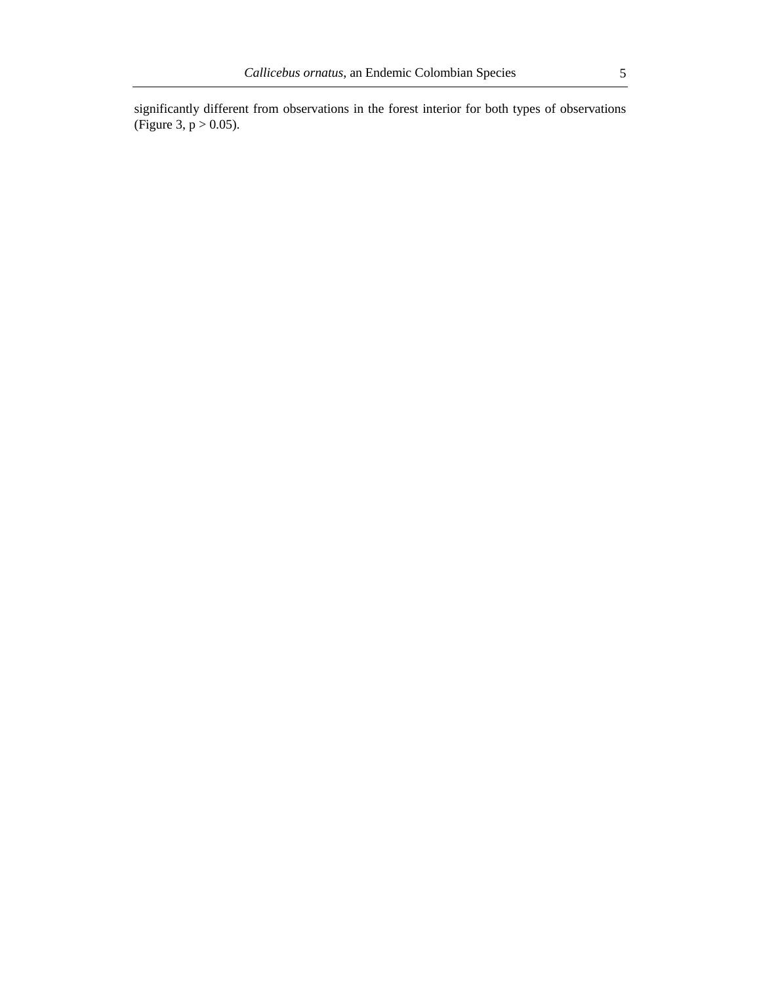significantly different from observations in the forest interior for both types of observations (Figure 3,  $p > 0.05$ ).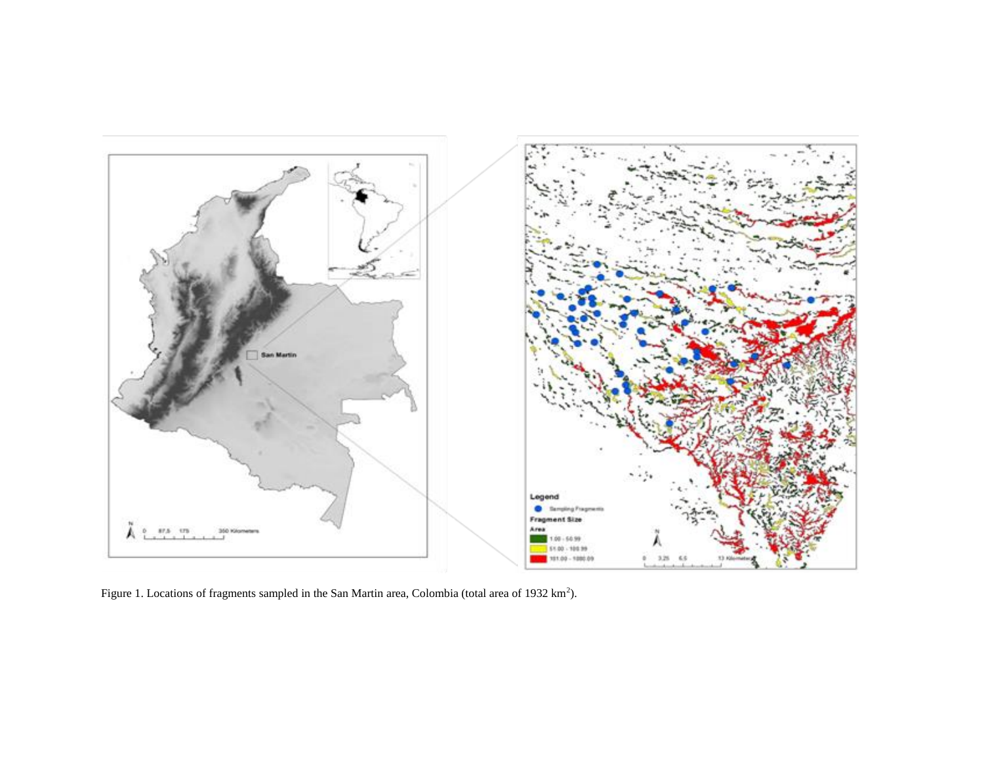

Figure 1. Locations of fragments sampled in the San Martin area, Colombia (total area of 1932 km<sup>2</sup>).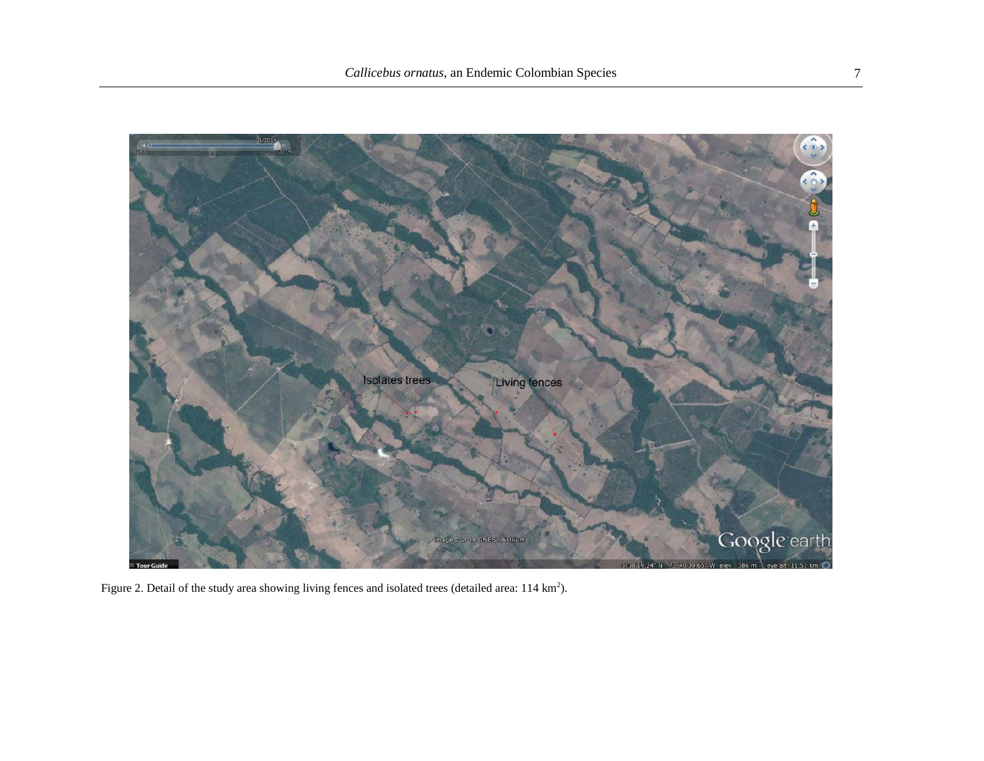

Figure 2. Detail of the study area showing living fences and isolated trees (detailed area: 114 km<sup>2</sup>).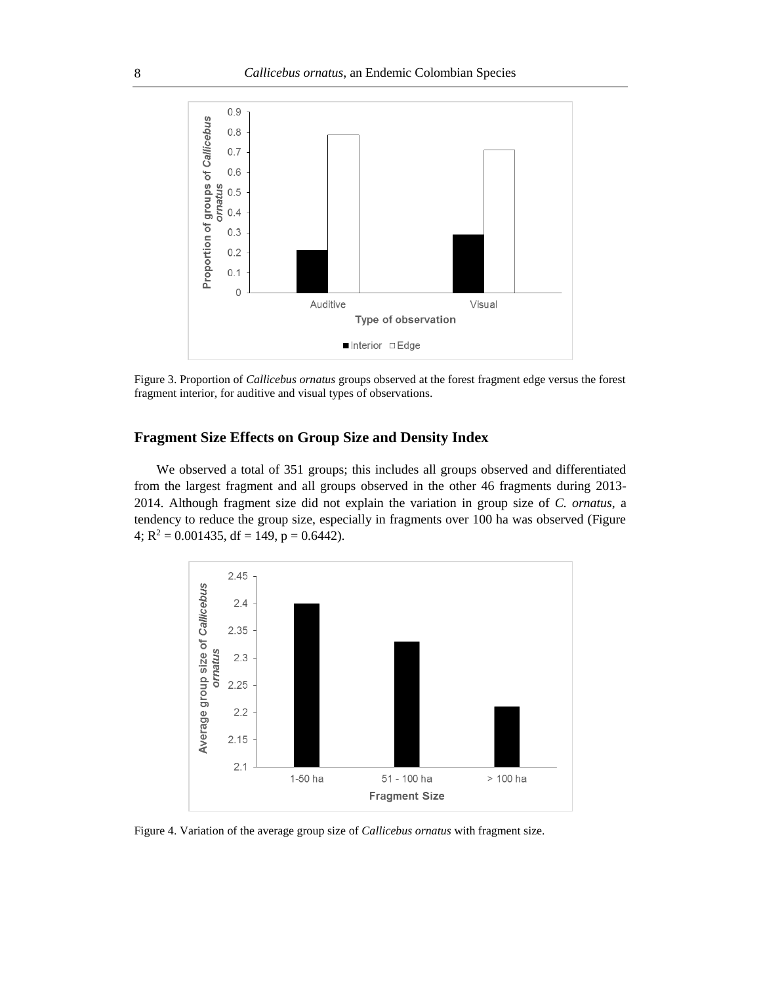

Figure 3. Proportion of *Callicebus ornatus* groups observed at the forest fragment edge versus the forest fragment interior, for auditive and visual types of observations.

# **Fragment Size Effects on Group Size and Density Index**

We observed a total of 351 groups; this includes all groups observed and differentiated from the largest fragment and all groups observed in the other 46 fragments during 2013- 2014. Although fragment size did not explain the variation in group size of *C. ornatus*, a tendency to reduce the group size, especially in fragments over 100 ha was observed (Figure 4;  $R^2 = 0.001435$ , df = 149, p = 0.6442).



Figure 4. Variation of the average group size of *Callicebus ornatus* with fragment size.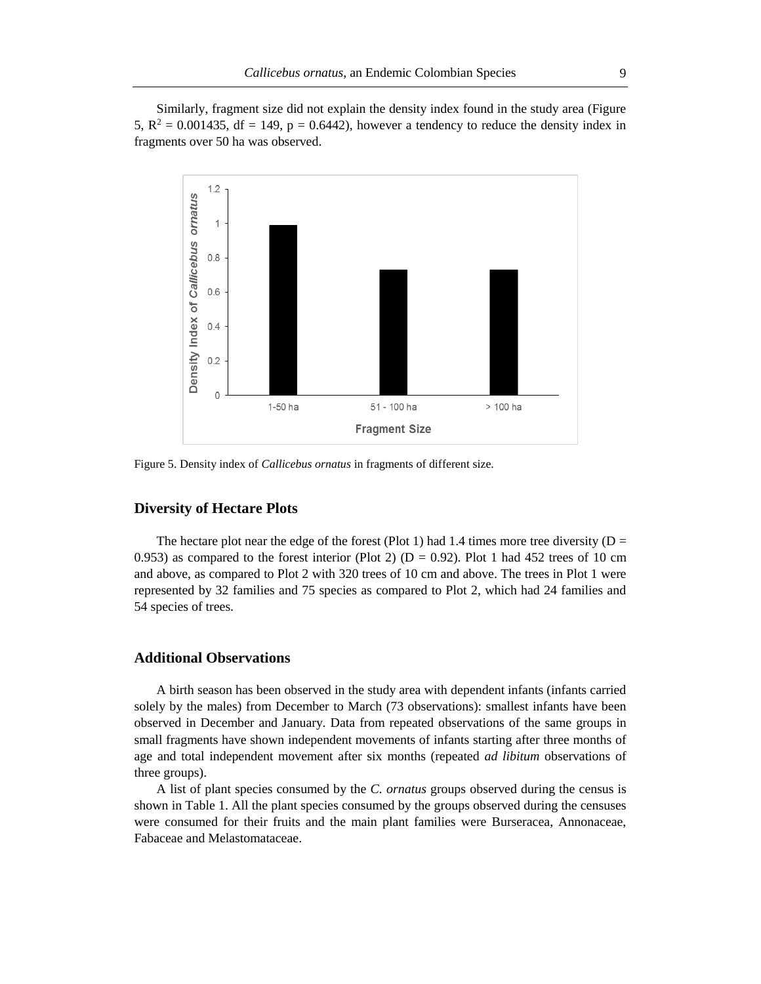Similarly, fragment size did not explain the density index found in the study area (Figure 5,  $R^2 = 0.001435$ , df = 149, p = 0.6442), however a tendency to reduce the density index in fragments over 50 ha was observed.



Figure 5. Density index of *Callicebus ornatus* in fragments of different size.

## **Diversity of Hectare Plots**

The hectare plot near the edge of the forest (Plot 1) had 1.4 times more tree diversity ( $D =$ 0.953) as compared to the forest interior (Plot 2) ( $D = 0.92$ ). Plot 1 had 452 trees of 10 cm and above, as compared to Plot 2 with 320 trees of 10 cm and above. The trees in Plot 1 were represented by 32 families and 75 species as compared to Plot 2, which had 24 families and 54 species of trees.

# **Additional Observations**

A birth season has been observed in the study area with dependent infants (infants carried solely by the males) from December to March (73 observations): smallest infants have been observed in December and January. Data from repeated observations of the same groups in small fragments have shown independent movements of infants starting after three months of age and total independent movement after six months (repeated *ad libitum* observations of three groups).

A list of plant species consumed by the *C. ornatus* groups observed during the census is shown in Table 1. All the plant species consumed by the groups observed during the censuses were consumed for their fruits and the main plant families were Burseracea, Annonaceae, Fabaceae and Melastomataceae.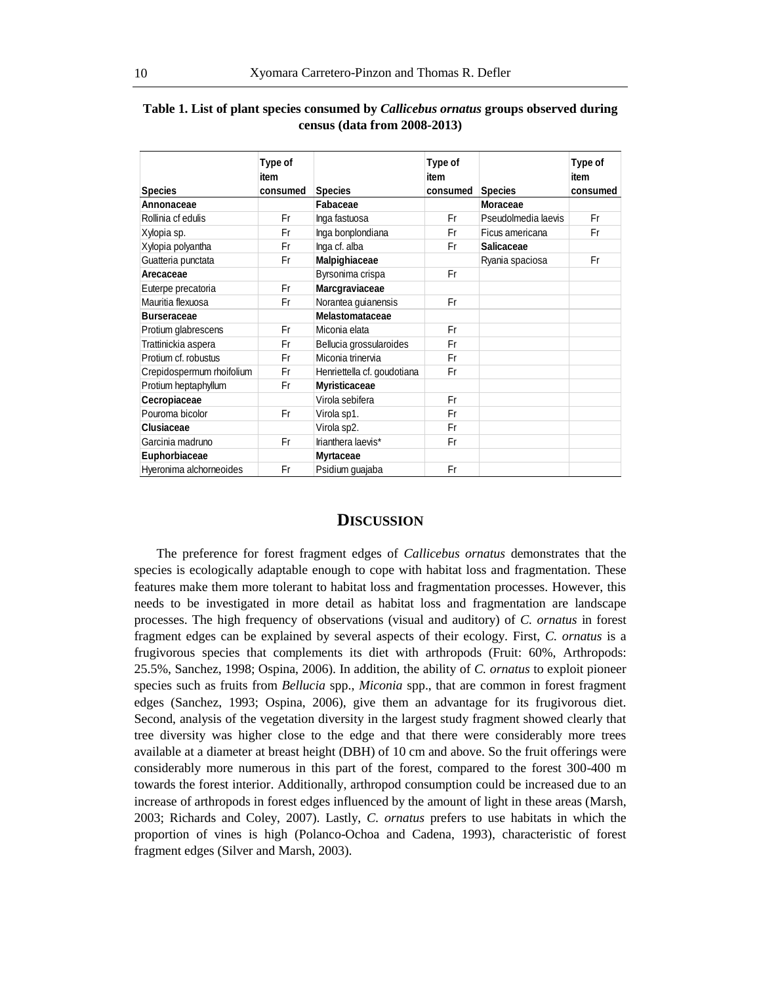|                           | Type of<br>item |                             | Type of<br>item |                     | Type of<br>item |
|---------------------------|-----------------|-----------------------------|-----------------|---------------------|-----------------|
| <b>Species</b>            | consumed        | <b>Species</b>              | consumed        | <b>Species</b>      | consumed        |
| Annonaceae                |                 | Fabaceae                    |                 | Moraceae            |                 |
| Rollinia cf edulis        | Fr              | Inga fastuosa               | Fr              | Pseudolmedia laevis | Fr              |
| Xylopia sp.               | Fr              | Inga bonplondiana           | Fr              | Ficus americana     | Fr              |
| Xylopia polyantha         | Fr              | Inga cf. alba               | Fr              | Salicaceae          |                 |
| Guatteria punctata        | Fr              | Malpighiaceae               |                 | Ryania spaciosa     | Fr              |
| Arecaceae                 |                 | Byrsonima crispa            | Fr              |                     |                 |
| Euterpe precatoria        | Fr              | Marcgraviaceae              |                 |                     |                 |
| Mauritia flexuosa         | Fr              | Norantea guianensis         | Fr              |                     |                 |
| <b>Burseraceae</b>        |                 | Melastomataceae             |                 |                     |                 |
| Protium glabrescens       | Fr              | Miconia elata               | Fr              |                     |                 |
| Trattinickia aspera       | Fr              | Bellucia grossularoides     | Fr              |                     |                 |
| Protium cf. robustus      | Fr              | Miconia trinervia           | Fr              |                     |                 |
| Crepidospermum rhoifolium | Fr              | Henriettella cf. goudotiana | Fr              |                     |                 |
| Protium heptaphyllum      | Fr              | <b>Myristicaceae</b>        |                 |                     |                 |
| Cecropiaceae              |                 | Virola sebifera             | Fr              |                     |                 |
| Pouroma bicolor           | Fr              | Virola sp1.                 | Fr              |                     |                 |
| Clusiaceae                |                 | Virola sp2.                 | Fr              |                     |                 |
| Garcinia madruno          | Fr              | Irianthera laevis*          | Fr              |                     |                 |
| Euphorbiaceae             |                 | <b>Myrtaceae</b>            |                 |                     |                 |
| Hyeronima alchorneoides   | Fr              | Psidium guajaba             | Fr              |                     |                 |

# **Table 1. List of plant species consumed by** *Callicebus ornatus* **groups observed during census (data from 2008-2013)**

## **DISCUSSION**

The preference for forest fragment edges of *Callicebus ornatus* demonstrates that the species is ecologically adaptable enough to cope with habitat loss and fragmentation. These features make them more tolerant to habitat loss and fragmentation processes. However, this needs to be investigated in more detail as habitat loss and fragmentation are landscape processes. The high frequency of observations (visual and auditory) of *C. ornatus* in forest fragment edges can be explained by several aspects of their ecology. First, *C. ornatus* is a frugivorous species that complements its diet with arthropods (Fruit: 60%, Arthropods: 25.5%, Sanchez, 1998; Ospina, 2006). In addition, the ability of *C. ornatus* to exploit pioneer species such as fruits from *Bellucia* spp., *Miconia* spp., that are common in forest fragment edges (Sanchez, 1993; Ospina, 2006), give them an advantage for its frugivorous diet. Second, analysis of the vegetation diversity in the largest study fragment showed clearly that tree diversity was higher close to the edge and that there were considerably more trees available at a diameter at breast height (DBH) of 10 cm and above. So the fruit offerings were considerably more numerous in this part of the forest, compared to the forest 300-400 m towards the forest interior. Additionally, arthropod consumption could be increased due to an increase of arthropods in forest edges influenced by the amount of light in these areas (Marsh, 2003; Richards and Coley, 2007). Lastly, *C. ornatus* prefers to use habitats in which the proportion of vines is high (Polanco-Ochoa and Cadena, 1993), characteristic of forest fragment edges (Silver and Marsh, 2003).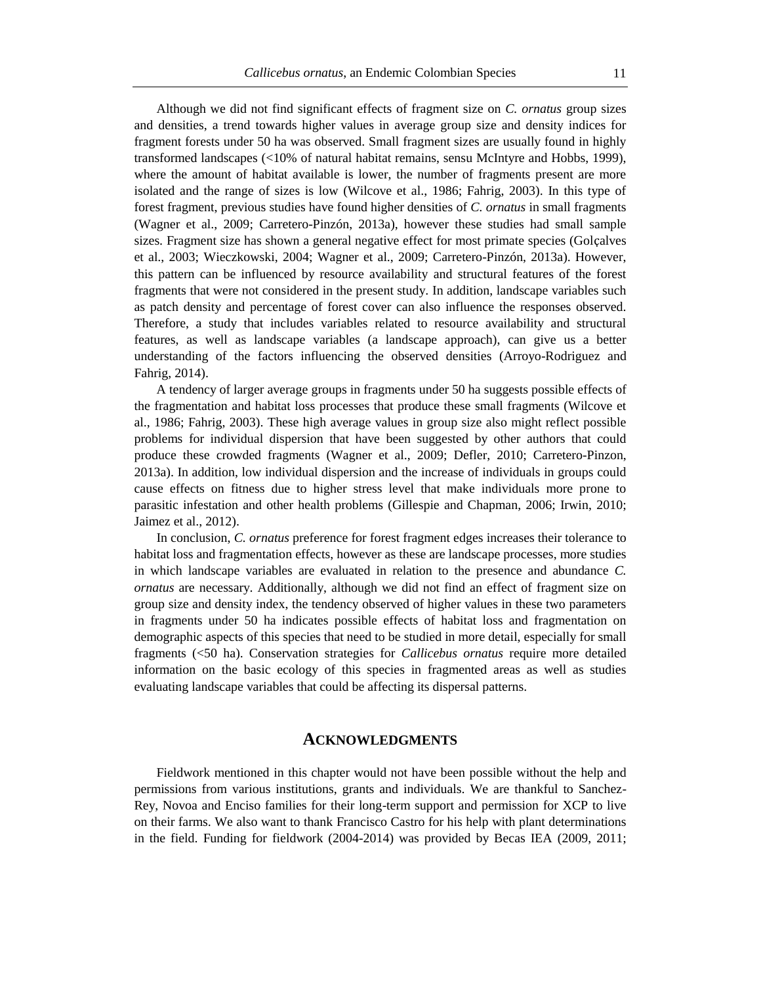Although we did not find significant effects of fragment size on *C. ornatus* group sizes and densities, a trend towards higher values in average group size and density indices for fragment forests under 50 ha was observed. Small fragment sizes are usually found in highly transformed landscapes (<10% of natural habitat remains, sensu McIntyre and Hobbs, 1999), where the amount of habitat available is lower, the number of fragments present are more isolated and the range of sizes is low (Wilcove et al., 1986; Fahrig, 2003). In this type of forest fragment, previous studies have found higher densities of *C. ornatus* in small fragments (Wagner et al., 2009; Carretero-Pinzón, 2013a), however these studies had small sample sizes. Fragment size has shown a general negative effect for most primate species (Golçalves et al., 2003; Wieczkowski, 2004; Wagner et al., 2009; Carretero-Pinzón, 2013a). However, this pattern can be influenced by resource availability and structural features of the forest fragments that were not considered in the present study. In addition, landscape variables such as patch density and percentage of forest cover can also influence the responses observed. Therefore, a study that includes variables related to resource availability and structural features, as well as landscape variables (a landscape approach), can give us a better understanding of the factors influencing the observed densities (Arroyo-Rodriguez and Fahrig, 2014).

A tendency of larger average groups in fragments under 50 ha suggests possible effects of the fragmentation and habitat loss processes that produce these small fragments (Wilcove et al., 1986; Fahrig, 2003). These high average values in group size also might reflect possible problems for individual dispersion that have been suggested by other authors that could produce these crowded fragments (Wagner et al., 2009; Defler, 2010; Carretero-Pinzon, 2013a). In addition, low individual dispersion and the increase of individuals in groups could cause effects on fitness due to higher stress level that make individuals more prone to parasitic infestation and other health problems (Gillespie and Chapman, 2006; Irwin, 2010; Jaimez et al., 2012).

In conclusion, *C. ornatus* preference for forest fragment edges increases their tolerance to habitat loss and fragmentation effects, however as these are landscape processes, more studies in which landscape variables are evaluated in relation to the presence and abundance *C. ornatus* are necessary. Additionally, although we did not find an effect of fragment size on group size and density index, the tendency observed of higher values in these two parameters in fragments under 50 ha indicates possible effects of habitat loss and fragmentation on demographic aspects of this species that need to be studied in more detail, especially for small fragments (<50 ha). Conservation strategies for *Callicebus ornatus* require more detailed information on the basic ecology of this species in fragmented areas as well as studies evaluating landscape variables that could be affecting its dispersal patterns.

## **ACKNOWLEDGMENTS**

Fieldwork mentioned in this chapter would not have been possible without the help and permissions from various institutions, grants and individuals. We are thankful to Sanchez-Rey, Novoa and Enciso families for their long-term support and permission for XCP to live on their farms. We also want to thank Francisco Castro for his help with plant determinations in the field. Funding for fieldwork (2004-2014) was provided by Becas IEA (2009, 2011;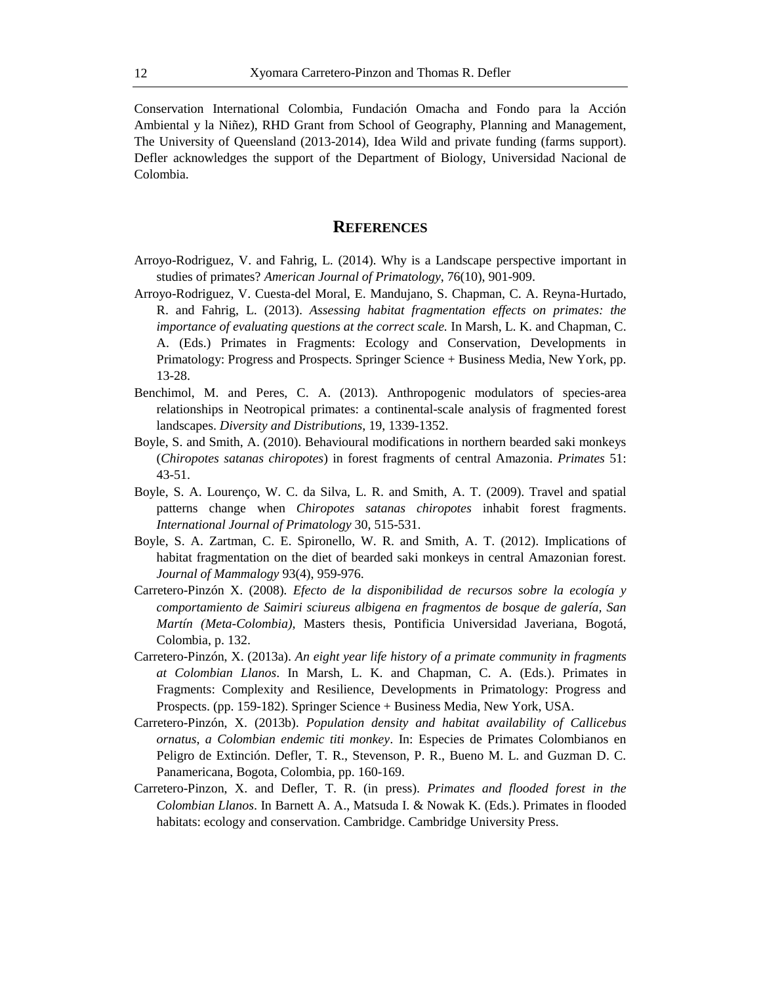Conservation International Colombia, Fundación Omacha and Fondo para la Acción Ambiental y la Niñez), RHD Grant from School of Geography, Planning and Management, The University of Queensland (2013-2014), Idea Wild and private funding (farms support). Defler acknowledges the support of the Department of Biology, Universidad Nacional de Colombia.

## **REFERENCES**

- Arroyo-Rodriguez, V. and Fahrig, L. (2014). Why is a Landscape perspective important in studies of primates? *American Journal of Primatology*, 76(10), 901-909.
- Arroyo-Rodriguez, V. Cuesta-del Moral, E. Mandujano, S. Chapman, C. A. Reyna-Hurtado, R. and Fahrig, L. (2013). *Assessing habitat fragmentation effects on primates: the importance of evaluating questions at the correct scale.* In Marsh, L. K. and Chapman, C. A. (Eds.) Primates in Fragments: Ecology and Conservation, Developments in Primatology: Progress and Prospects. Springer Science + Business Media, New York, pp. 13-28.
- Benchimol, M. and Peres, C. A. (2013). Anthropogenic modulators of species-area relationships in Neotropical primates: a continental-scale analysis of fragmented forest landscapes. *Diversity and Distributions*, 19, 1339-1352.
- Boyle, S. and Smith, A. (2010). Behavioural modifications in northern bearded saki monkeys (*Chiropotes satanas chiropotes*) in forest fragments of central Amazonia. *Primates* 51: 43-51.
- Boyle, S. A. Lourenço, W. C. da Silva, L. R. and Smith, A. T. (2009). Travel and spatial patterns change when *Chiropotes satanas chiropotes* inhabit forest fragments. *International Journal of Primatology* 30, 515-531.
- Boyle, S. A. Zartman, C. E. Spironello, W. R. and Smith, A. T. (2012). Implications of habitat fragmentation on the diet of bearded saki monkeys in central Amazonian forest. *Journal of Mammalogy* 93(4), 959-976.
- Carretero-Pinzón X. (2008). *Efecto de la disponibilidad de recursos sobre la ecología y comportamiento de Saimiri sciureus albigena en fragmentos de bosque de galería, San Martín (Meta-Colombia),* Masters thesis, Pontificia Universidad Javeriana, Bogotá, Colombia, p. 132.
- Carretero-Pinzón, X. (2013a). *An eight year life history of a primate community in fragments at Colombian Llanos*. In Marsh, L. K. and Chapman, C. A. (Eds.). Primates in Fragments: Complexity and Resilience, Developments in Primatology: Progress and Prospects. (pp. 159-182). Springer Science + Business Media, New York, USA.
- Carretero-Pinzón, X. (2013b). *Population density and habitat availability of Callicebus ornatus*, *a Colombian endemic titi monkey*. In: Especies de Primates Colombianos en Peligro de Extinción. Defler, T. R., Stevenson, P. R., Bueno M. L. and Guzman D. C. Panamericana, Bogota, Colombia, pp. 160-169.
- Carretero-Pinzon, X. and Defler, T. R. (in press). *Primates and flooded forest in the Colombian Llanos*. In Barnett A. A., Matsuda I. & Nowak K. (Eds.). Primates in flooded habitats: ecology and conservation. Cambridge. Cambridge University Press.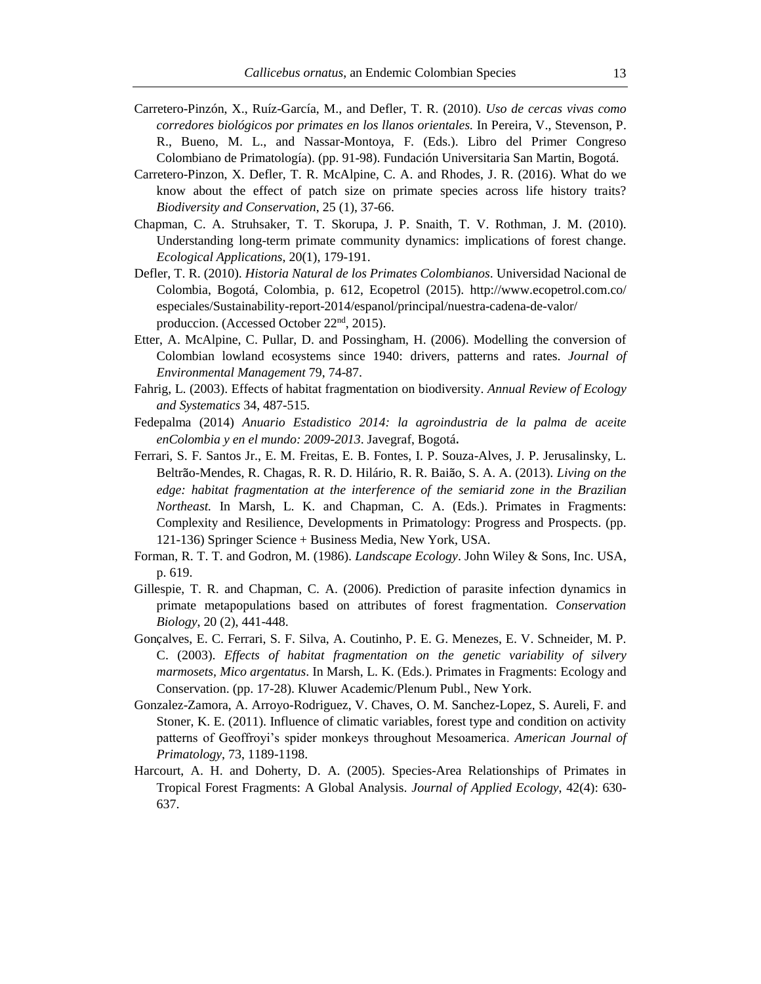- Carretero-Pinzón, X., Ruíz-García, M., and Defler, T. R. (2010). *Uso de cercas vivas como corredores biológicos por primates en los llanos orientales.* In Pereira, V., Stevenson, P. R., Bueno, M. L., and Nassar-Montoya, F. (Eds.). Libro del Primer Congreso Colombiano de Primatología). (pp. 91-98). Fundación Universitaria San Martin, Bogotá.
- Carretero-Pinzon, X. Defler, T. R. McAlpine, C. A. and Rhodes, J. R. (2016). What do we know about the effect of patch size on primate species across life history traits? *Biodiversity and Conservation*, 25 (1), 37-66.
- Chapman, C. A. Struhsaker, T. T. Skorupa, J. P. Snaith, T. V. Rothman, J. M. (2010). Understanding long-term primate community dynamics: implications of forest change. *Ecological Applications*, 20(1), 179-191.
- Defler, T. R. (2010). *Historia Natural de los Primates Colombianos*. Universidad Nacional de Colombia, Bogotá, Colombia, p. 612, Ecopetrol (2015). http://www.ecopetrol.com.co/ especiales/Sustainability-report-2014/espanol/principal/nuestra-cadena-de-valor/ produccion. (Accessed October 22nd, 2015).
- Etter, A. McAlpine, C. Pullar, D. and Possingham, H. (2006). Modelling the conversion of Colombian lowland ecosystems since 1940: drivers, patterns and rates. *Journal of Environmental Management* 79, 74-87.
- Fahrig, L. (2003). Effects of habitat fragmentation on biodiversity. *Annual Review of Ecology and Systematics* 34, 487-515.
- Fedepalma (2014) *Anuario Estadistico 2014: la agroindustria de la palma de aceite enColombia y en el mundo: 2009-2013*. Javegraf, Bogotá.
- Ferrari, S. F. Santos Jr., E. M. Freitas, E. B. Fontes, I. P. Souza-Alves, J. P. Jerusalinsky, L. Beltrão-Mendes, R. Chagas, R. R. D. Hilário, R. R. Baião, S. A. A. (2013). *Living on the edge: habitat fragmentation at the interference of the semiarid zone in the Brazilian Northeast.* In Marsh, L. K. and Chapman, C. A. (Eds.). Primates in Fragments: Complexity and Resilience, Developments in Primatology: Progress and Prospects. (pp. 121-136) Springer Science + Business Media, New York, USA.
- Forman, R. T. T. and Godron, M. (1986). *Landscape Ecology*. John Wiley & Sons, Inc. USA, p. 619.
- Gillespie, T. R. and Chapman, C. A. (2006). Prediction of parasite infection dynamics in primate metapopulations based on attributes of forest fragmentation. *Conservation Biology*, 20 (2), 441-448.
- Gonçalves, E. C. Ferrari, S. F. Silva, A. Coutinho, P. E. G. Menezes, E. V. Schneider, M. P. C. (2003). *Effects of habitat fragmentation on the genetic variability of silvery marmosets, Mico argentatus*. In Marsh, L. K. (Eds.). Primates in Fragments: Ecology and Conservation. (pp. 17-28). Kluwer Academic/Plenum Publ., New York.
- Gonzalez-Zamora, A. Arroyo-Rodriguez, V. Chaves, O. M. Sanchez-Lopez, S. Aureli, F. and Stoner, K. E. (2011). Influence of climatic variables, forest type and condition on activity patterns of Geoffroyi's spider monkeys throughout Mesoamerica. *American Journal of Primatology*, 73, 1189-1198.
- Harcourt, A. H. and Doherty, D. A. (2005). Species-Area Relationships of Primates in Tropical Forest Fragments: A Global Analysis. *Journal of Applied Ecology*, 42(4): 630- 637.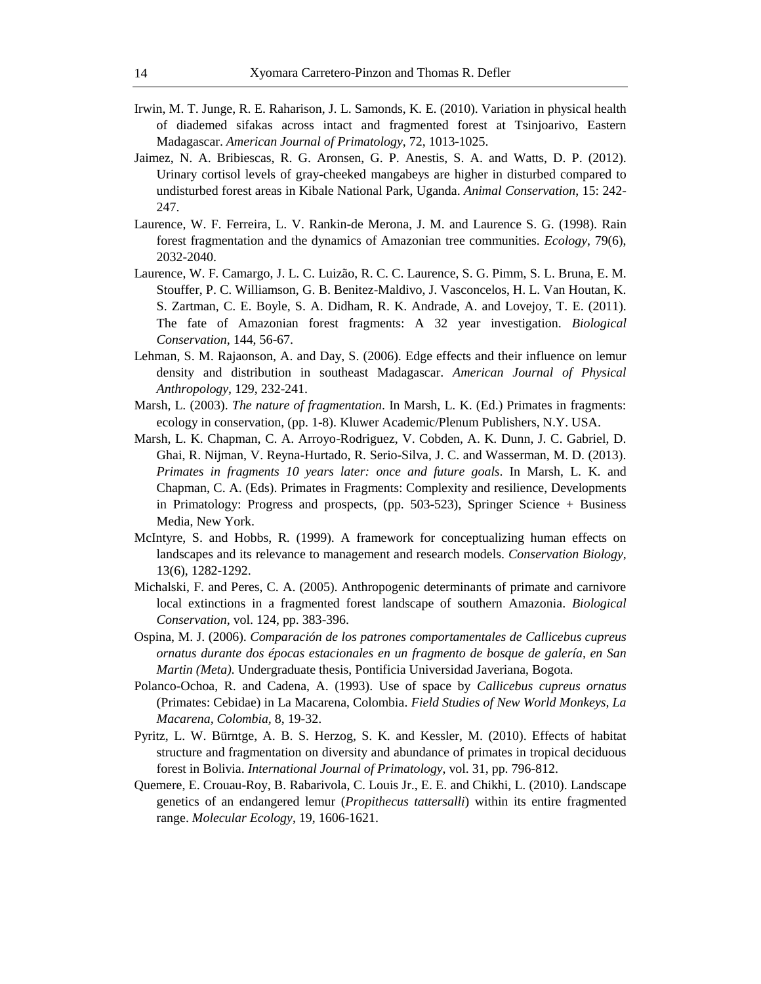- Irwin, M. T. Junge, R. E. Raharison, J. L. Samonds, K. E. (2010). Variation in physical health of diademed sifakas across intact and fragmented forest at Tsinjoarivo, Eastern Madagascar. *American Journal of Primatology*, 72, 1013-1025.
- Jaimez, N. A. Bribiescas, R. G. Aronsen, G. P. Anestis, S. A. and Watts, D. P. (2012). Urinary cortisol levels of gray-cheeked mangabeys are higher in disturbed compared to undisturbed forest areas in Kibale National Park, Uganda. *Animal Conservation*, 15: 242- 247.
- Laurence, W. F. Ferreira, L. V. Rankin-de Merona, J. M. and Laurence S. G. (1998). Rain forest fragmentation and the dynamics of Amazonian tree communities. *Ecology*, 79(6), 2032-2040.
- Laurence, W. F. Camargo, J. L. C. Luizão, R. C. C. Laurence, S. G. Pimm, S. L. Bruna, E. M. Stouffer, P. C. Williamson, G. B. Benitez-Maldivo, J. Vasconcelos, H. L. Van Houtan, K. S. Zartman, C. E. Boyle, S. A. Didham, R. K. Andrade, A. and Lovejoy, T. E. (2011). The fate of Amazonian forest fragments: A 32 year investigation. *Biological Conservation*, 144, 56-67.
- Lehman, S. M. Rajaonson, A. and Day, S. (2006). Edge effects and their influence on lemur density and distribution in southeast Madagascar. *American Journal of Physical Anthropology*, 129, 232-241.
- Marsh, L. (2003). *The nature of fragmentation*. In Marsh, L. K. (Ed.) Primates in fragments: ecology in conservation, (pp. 1-8). Kluwer Academic/Plenum Publishers, N.Y. USA.
- Marsh, L. K. Chapman, C. A. Arroyo-Rodriguez, V. Cobden, A. K. Dunn, J. C. Gabriel, D. Ghai, R. Nijman, V. Reyna-Hurtado, R. Serio-Silva, J. C. and Wasserman, M. D. (2013). *Primates in fragments 10 years later: once and future goals*. In Marsh, L. K. and Chapman, C. A. (Eds). Primates in Fragments: Complexity and resilience, Developments in Primatology: Progress and prospects, (pp. 503-523), Springer Science + Business Media, New York.
- McIntyre, S. and Hobbs, R. (1999). A framework for conceptualizing human effects on landscapes and its relevance to management and research models. *Conservation Biology,* 13(6), 1282-1292.
- Michalski, F. and Peres, C. A. (2005). Anthropogenic determinants of primate and carnivore local extinctions in a fragmented forest landscape of southern Amazonia. *Biological Conservation*, vol. 124, pp. 383-396.
- Ospina, M. J. (2006). *Comparación de los patrones comportamentales de Callicebus cupreus ornatus durante dos épocas estacionales en un fragmento de bosque de galería, en San Martin (Meta).* Undergraduate thesis, Pontificia Universidad Javeriana, Bogota.
- Polanco-Ochoa, R. and Cadena, A. (1993). Use of space by *Callicebus cupreus ornatus*  (Primates: Cebidae) in La Macarena, Colombia. *Field Studies of New World Monkeys, La Macarena, Colombia,* 8, 19-32.
- Pyritz, L. W. Bürntge, A. B. S. Herzog, S. K. and Kessler, M. (2010). Effects of habitat structure and fragmentation on diversity and abundance of primates in tropical deciduous forest in Bolivia. *International Journal of Primatology*, vol. 31, pp. 796-812.
- Quemere, E. Crouau-Roy, B. Rabarivola, C. Louis Jr., E. E. and Chikhi, L. (2010). Landscape genetics of an endangered lemur (*Propithecus tattersalli*) within its entire fragmented range. *Molecular Ecology*, 19, 1606-1621.